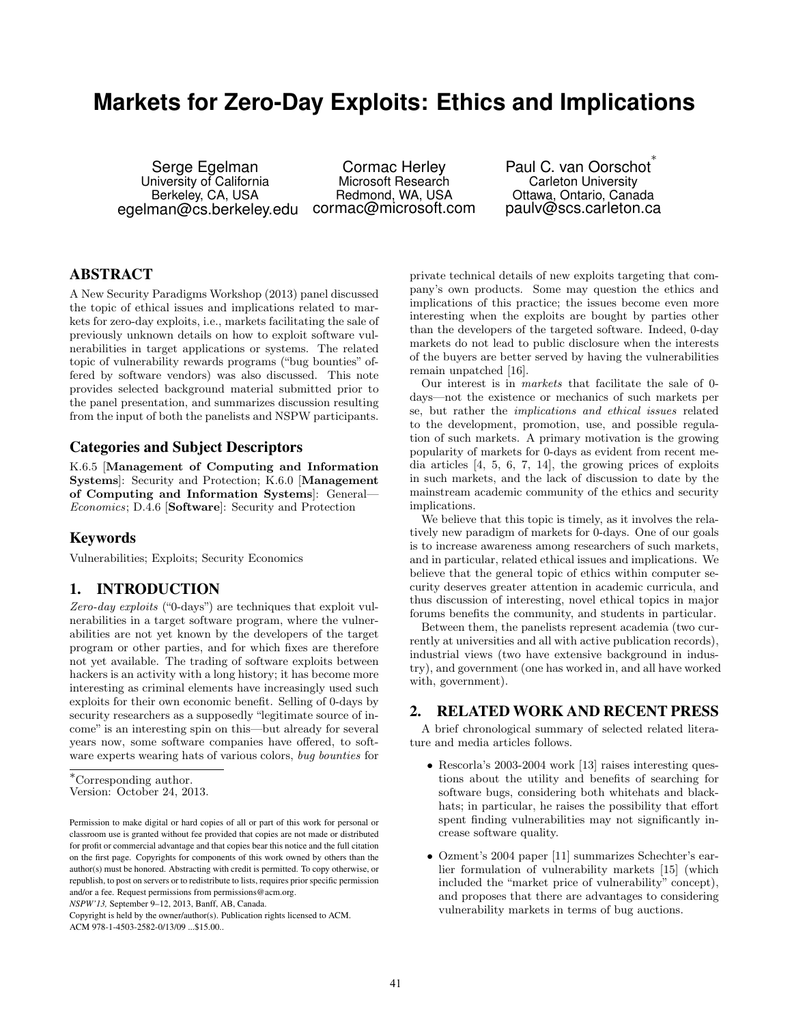# **Markets for Zero-Day Exploits: Ethics and Implications**

Serge Egelman University of California Berkeley, CA, USA egelman@cs.berkeley.edu

Cormac Herley Microsoft Research Redmond, WA, USA cormac@microsoft.com

Paul C. van Oorschot<sup>\*</sup> Carleton University Ottawa, Ontario, Canada paulv@scs.carleton.ca

## ABSTRACT

A New Security Paradigms Workshop (2013) panel discussed the topic of ethical issues and implications related to markets for zero-day exploits, i.e., markets facilitating the sale of previously unknown details on how to exploit software vulnerabilities in target applications or systems. The related topic of vulnerability rewards programs ("bug bounties" offered by software vendors) was also discussed. This note provides selected background material submitted prior to the panel presentation, and summarizes discussion resulting from the input of both the panelists and NSPW participants.

## Categories and Subject Descriptors

K.6.5 [Management of Computing and Information Systems]: Security and Protection; K.6.0 [Management of Computing and Information Systems]: General— Economics; D.4.6 [Software]: Security and Protection

#### Keywords

Vulnerabilities; Exploits; Security Economics

## 1. INTRODUCTION

Zero-day exploits ("0-days") are techniques that exploit vulnerabilities in a target software program, where the vulnerabilities are not yet known by the developers of the target program or other parties, and for which fixes are therefore not yet available. The trading of software exploits between hackers is an activity with a long history; it has become more interesting as criminal elements have increasingly used such exploits for their own economic benefit. Selling of 0-days by security researchers as a supposedly "legitimate source of income" is an interesting spin on this—but already for several years now, some software companies have offered, to software experts wearing hats of various colors, bug bounties for

<sup>∗</sup>Corresponding author.

*NSPW'13,* September 9–12, 2013, Banff, AB, Canada.

private technical details of new exploits targeting that company's own products. Some may question the ethics and implications of this practice; the issues become even more interesting when the exploits are bought by parties other than the developers of the targeted software. Indeed, 0-day markets do not lead to public disclosure when the interests of the buyers are better served by having the vulnerabilities remain unpatched [16].

Our interest is in markets that facilitate the sale of 0 days—not the existence or mechanics of such markets per se, but rather the implications and ethical issues related to the development, promotion, use, and possible regulation of such markets. A primary motivation is the growing popularity of markets for 0-days as evident from recent media articles [4, 5, 6, 7, 14], the growing prices of exploits in such markets, and the lack of discussion to date by the mainstream academic community of the ethics and security implications.

We believe that this topic is timely, as it involves the relatively new paradigm of markets for 0-days. One of our goals is to increase awareness among researchers of such markets, and in particular, related ethical issues and implications. We believe that the general topic of ethics within computer security deserves greater attention in academic curricula, and thus discussion of interesting, novel ethical topics in major forums benefits the community, and students in particular.

Between them, the panelists represent academia (two currently at universities and all with active publication records), industrial views (two have extensive background in industry), and government (one has worked in, and all have worked with, government).

## 2. RELATED WORK AND RECENT PRESS

A brief chronological summary of selected related literature and media articles follows.

- Rescorla's 2003-2004 work [13] raises interesting questions about the utility and benefits of searching for software bugs, considering both whitehats and blackhats; in particular, he raises the possibility that effort spent finding vulnerabilities may not significantly increase software quality.
- Ozment's 2004 paper [11] summarizes Schechter's earlier formulation of vulnerability markets [15] (which included the "market price of vulnerability" concept), and proposes that there are advantages to considering vulnerability markets in terms of bug auctions.

Version: October 24, 2013.

Permission to make digital or hard copies of all or part of this work for personal or classroom use is granted without fee provided that copies are not made or distributed for profit or commercial advantage and that copies bear this notice and the full citation on the first page. Copyrights for components of this work owned by others than the author(s) must be honored. Abstracting with credit is permitted. To copy otherwise, or republish, to post on servers or to redistribute to lists, requires prior specific permission and/or a fee. Request permissions from permissions@acm.org.

Copyright is held by the owner/author(s). Publication rights licensed to ACM. ACM 978-1-4503-2582-0/13/09 ...\$15.00..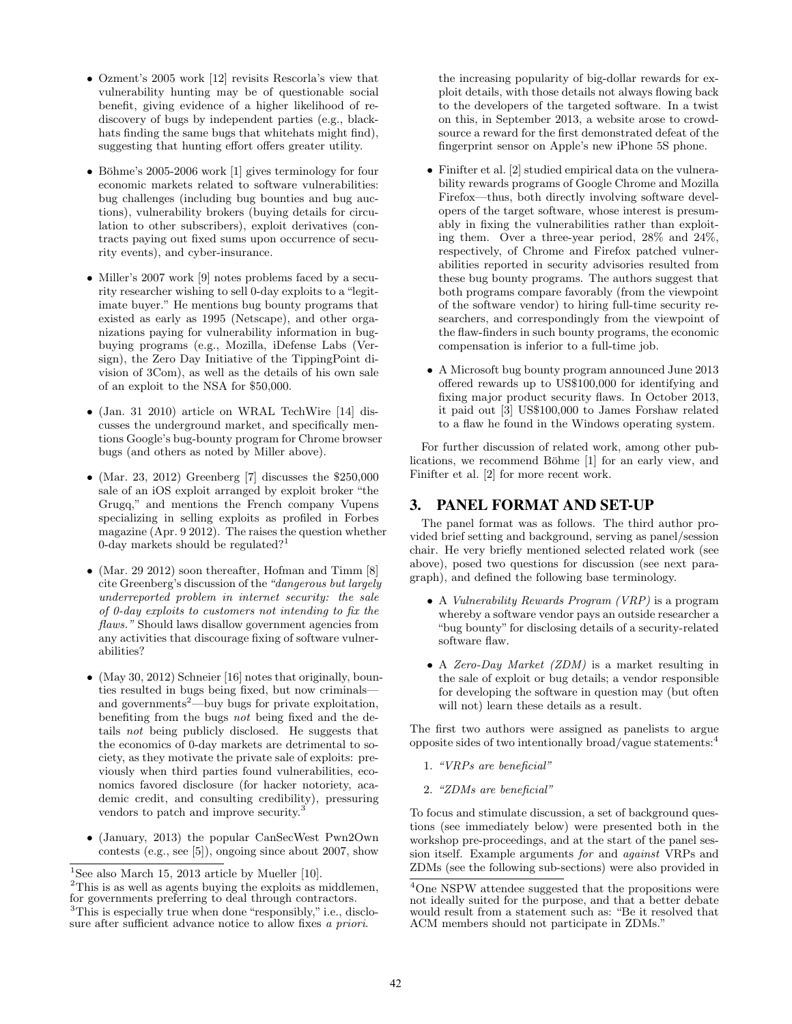- Ozment's 2005 work [12] revisits Rescorla's view that vulnerability hunting may be of questionable social benefit, giving evidence of a higher likelihood of rediscovery of bugs by independent parties (e.g., blackhats finding the same bugs that whitehats might find), suggesting that hunting effort offers greater utility.
- Böhme's 2005-2006 work  $[1]$  gives terminology for four economic markets related to software vulnerabilities: bug challenges (including bug bounties and bug auctions), vulnerability brokers (buying details for circulation to other subscribers), exploit derivatives (contracts paying out fixed sums upon occurrence of security events), and cyber-insurance.
- Miller's 2007 work [9] notes problems faced by a security researcher wishing to sell 0-day exploits to a "legitimate buyer." He mentions bug bounty programs that existed as early as 1995 (Netscape), and other organizations paying for vulnerability information in bugbuying programs (e.g., Mozilla, iDefense Labs (Versign), the Zero Day Initiative of the TippingPoint division of 3Com), as well as the details of his own sale of an exploit to the NSA for \$50,000.
- (Jan. 31 2010) article on WRAL TechWire [14] discusses the underground market, and specifically mentions Google's bug-bounty program for Chrome browser bugs (and others as noted by Miller above).
- (Mar. 23, 2012) Greenberg  $[7]$  discusses the \$250,000 sale of an iOS exploit arranged by exploit broker "the Grugq," and mentions the French company Vupens specializing in selling exploits as profiled in Forbes magazine (Apr. 9 2012). The raises the question whether 0-day markets should be regulated?<sup>1</sup>
- (Mar. 29 2012) soon thereafter, Hofman and Timm [8] cite Greenberg's discussion of the"dangerous but largely underreported problem in internet security: the sale of 0-day exploits to customers not intending to fix the flaws." Should laws disallow government agencies from any activities that discourage fixing of software vulnerabilities?
- (May 30, 2012) Schneier [16] notes that originally, bounties resulted in bugs being fixed, but now criminals and governments<sup>2</sup>—buy bugs for private exploitation, benefiting from the bugs not being fixed and the details not being publicly disclosed. He suggests that the economics of 0-day markets are detrimental to society, as they motivate the private sale of exploits: previously when third parties found vulnerabilities, economics favored disclosure (for hacker notoriety, academic credit, and consulting credibility), pressuring vendors to patch and improve security.<sup>3</sup>
- (January, 2013) the popular CanSecWest Pwn2Own contests (e.g., see [5]), ongoing since about 2007, show

the increasing popularity of big-dollar rewards for exploit details, with those details not always flowing back to the developers of the targeted software. In a twist on this, in September 2013, a website arose to crowdsource a reward for the first demonstrated defeat of the fingerprint sensor on Apple's new iPhone 5S phone.

- Finifter et al. [2] studied empirical data on the vulnerability rewards programs of Google Chrome and Mozilla Firefox—thus, both directly involving software developers of the target software, whose interest is presumably in fixing the vulnerabilities rather than exploiting them. Over a three-year period, 28% and 24%, respectively, of Chrome and Firefox patched vulnerabilities reported in security advisories resulted from these bug bounty programs. The authors suggest that both programs compare favorably (from the viewpoint of the software vendor) to hiring full-time security researchers, and correspondingly from the viewpoint of the flaw-finders in such bounty programs, the economic compensation is inferior to a full-time job.
- A Microsoft bug bounty program announced June 2013 offered rewards up to US\$100,000 for identifying and fixing major product security flaws. In October 2013, it paid out [3] US\$100,000 to James Forshaw related to a flaw he found in the Windows operating system.

For further discussion of related work, among other publications, we recommend Böhme [1] for an early view, and Finifter et al. [2] for more recent work.

## 3. PANEL FORMAT AND SET-UP

The panel format was as follows. The third author provided brief setting and background, serving as panel/session chair. He very briefly mentioned selected related work (see above), posed two questions for discussion (see next paragraph), and defined the following base terminology.

- A Vulnerability Rewards Program (VRP) is a program whereby a software vendor pays an outside researcher a "bug bounty" for disclosing details of a security-related software flaw.
- A Zero-Day Market (ZDM) is a market resulting in the sale of exploit or bug details; a vendor responsible for developing the software in question may (but often will not) learn these details as a result.

The first two authors were assigned as panelists to argue opposite sides of two intentionally broad/vague statements:<sup>4</sup>

- 1. "VRPs are beneficial"
- 2. "ZDMs are beneficial"

To focus and stimulate discussion, a set of background questions (see immediately below) were presented both in the workshop pre-proceedings, and at the start of the panel session itself. Example arguments for and against VRPs and ZDMs (see the following sub-sections) were also provided in

<sup>&</sup>lt;sup>1</sup>See also March 15, 2013 article by Mueller  $[10]$ .

 $2$ This is as well as agents buying the exploits as middlemen, for governments preferring to deal through contractors. <sup>3</sup>This is especially true when done "responsibly," i.e., disclosure after sufficient advance notice to allow fixes a priori.

<sup>4</sup>One NSPW attendee suggested that the propositions were not ideally suited for the purpose, and that a better debate would result from a statement such as: "Be it resolved that ACM members should not participate in ZDMs."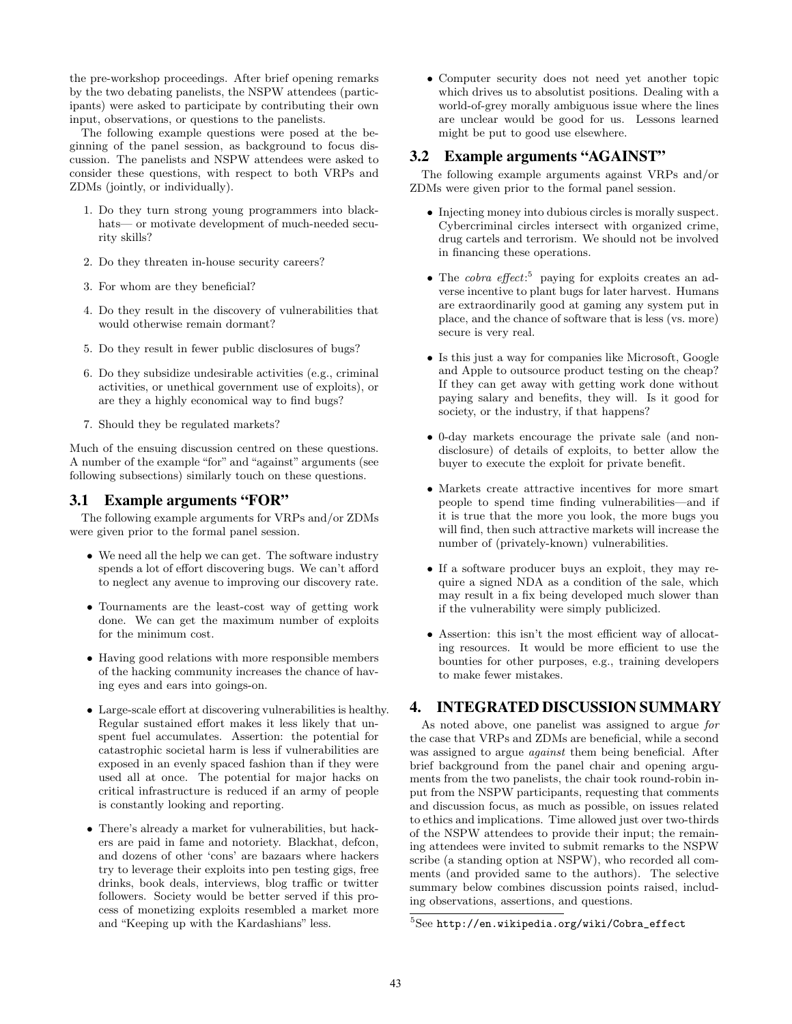the pre-workshop proceedings. After brief opening remarks by the two debating panelists, the NSPW attendees (participants) were asked to participate by contributing their own input, observations, or questions to the panelists.

The following example questions were posed at the beginning of the panel session, as background to focus discussion. The panelists and NSPW attendees were asked to consider these questions, with respect to both VRPs and ZDMs (jointly, or individually).

- 1. Do they turn strong young programmers into blackhats— or motivate development of much-needed security skills?
- 2. Do they threaten in-house security careers?
- 3. For whom are they beneficial?
- 4. Do they result in the discovery of vulnerabilities that would otherwise remain dormant?
- 5. Do they result in fewer public disclosures of bugs?
- 6. Do they subsidize undesirable activities (e.g., criminal activities, or unethical government use of exploits), or are they a highly economical way to find bugs?
- 7. Should they be regulated markets?

Much of the ensuing discussion centred on these questions. A number of the example "for" and "against" arguments (see following subsections) similarly touch on these questions.

## 3.1 Example arguments "FOR"

The following example arguments for VRPs and/or ZDMs were given prior to the formal panel session.

- We need all the help we can get. The software industry spends a lot of effort discovering bugs. We can't afford to neglect any avenue to improving our discovery rate.
- Tournaments are the least-cost way of getting work done. We can get the maximum number of exploits for the minimum cost.
- Having good relations with more responsible members of the hacking community increases the chance of having eyes and ears into goings-on.
- Large-scale effort at discovering vulnerabilities is healthy. Regular sustained effort makes it less likely that unspent fuel accumulates. Assertion: the potential for catastrophic societal harm is less if vulnerabilities are exposed in an evenly spaced fashion than if they were used all at once. The potential for major hacks on critical infrastructure is reduced if an army of people is constantly looking and reporting.
- There's already a market for vulnerabilities, but hackers are paid in fame and notoriety. Blackhat, defcon, and dozens of other 'cons' are bazaars where hackers try to leverage their exploits into pen testing gigs, free drinks, book deals, interviews, blog traffic or twitter followers. Society would be better served if this process of monetizing exploits resembled a market more and "Keeping up with the Kardashians" less.

• Computer security does not need yet another topic which drives us to absolutist positions. Dealing with a world-of-grey morally ambiguous issue where the lines are unclear would be good for us. Lessons learned might be put to good use elsewhere.

## 3.2 Example arguments "AGAINST"

The following example arguments against VRPs and/or ZDMs were given prior to the formal panel session.

- Injecting money into dubious circles is morally suspect. Cybercriminal circles intersect with organized crime, drug cartels and terrorism. We should not be involved in financing these operations.
- The *cobra effect*:<sup>5</sup> paying for exploits creates an adverse incentive to plant bugs for later harvest. Humans are extraordinarily good at gaming any system put in place, and the chance of software that is less (vs. more) secure is very real.
- Is this just a way for companies like Microsoft, Google and Apple to outsource product testing on the cheap? If they can get away with getting work done without paying salary and benefits, they will. Is it good for society, or the industry, if that happens?
- 0-day markets encourage the private sale (and nondisclosure) of details of exploits, to better allow the buyer to execute the exploit for private benefit.
- Markets create attractive incentives for more smart people to spend time finding vulnerabilities—and if it is true that the more you look, the more bugs you will find, then such attractive markets will increase the number of (privately-known) vulnerabilities.
- If a software producer buys an exploit, they may require a signed NDA as a condition of the sale, which may result in a fix being developed much slower than if the vulnerability were simply publicized.
- Assertion: this isn't the most efficient way of allocating resources. It would be more efficient to use the bounties for other purposes, e.g., training developers to make fewer mistakes.

## 4. INTEGRATED DISCUSSION SUMMARY

As noted above, one panelist was assigned to argue for the case that VRPs and ZDMs are beneficial, while a second was assigned to argue *against* them being beneficial. After brief background from the panel chair and opening arguments from the two panelists, the chair took round-robin input from the NSPW participants, requesting that comments and discussion focus, as much as possible, on issues related to ethics and implications. Time allowed just over two-thirds of the NSPW attendees to provide their input; the remaining attendees were invited to submit remarks to the NSPW scribe (a standing option at NSPW), who recorded all comments (and provided same to the authors). The selective summary below combines discussion points raised, including observations, assertions, and questions.

<sup>5</sup>See http://en.wikipedia.org/wiki/Cobra\_effect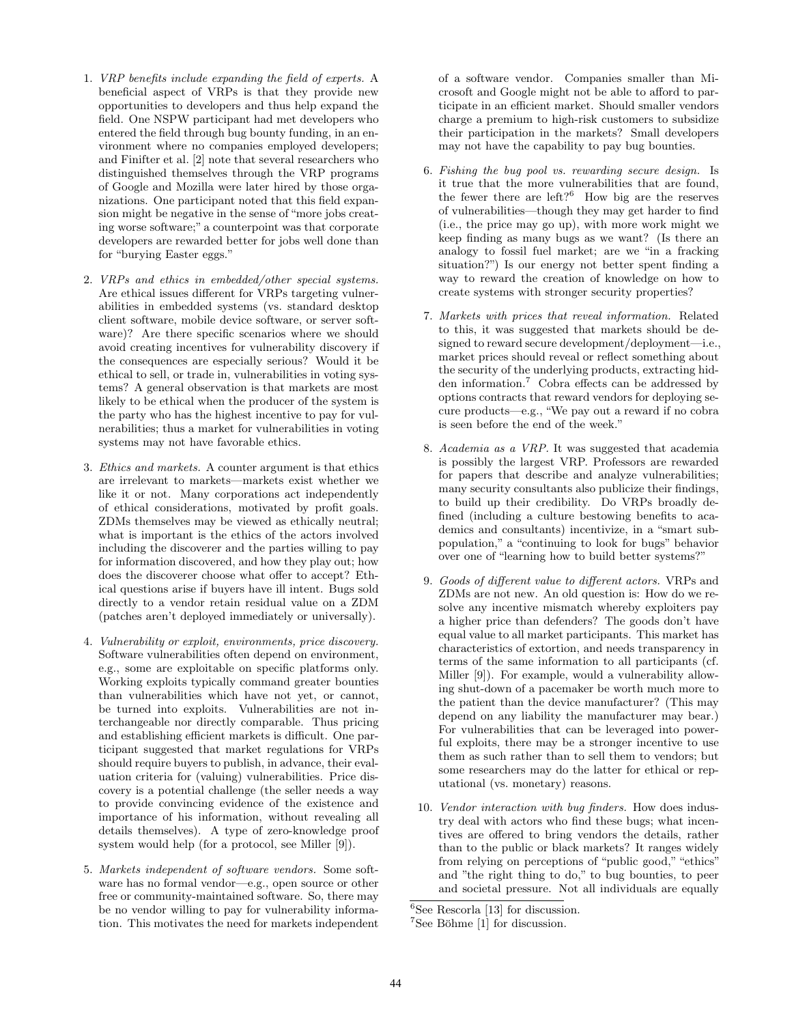- 1. VRP benefits include expanding the field of experts. A beneficial aspect of VRPs is that they provide new opportunities to developers and thus help expand the field. One NSPW participant had met developers who entered the field through bug bounty funding, in an environment where no companies employed developers; and Finifter et al. [2] note that several researchers who distinguished themselves through the VRP programs of Google and Mozilla were later hired by those organizations. One participant noted that this field expansion might be negative in the sense of "more jobs creating worse software;" a counterpoint was that corporate developers are rewarded better for jobs well done than for "burying Easter eggs."
- 2. VRPs and ethics in embedded/other special systems. Are ethical issues different for VRPs targeting vulnerabilities in embedded systems (vs. standard desktop client software, mobile device software, or server software)? Are there specific scenarios where we should avoid creating incentives for vulnerability discovery if the consequences are especially serious? Would it be ethical to sell, or trade in, vulnerabilities in voting systems? A general observation is that markets are most likely to be ethical when the producer of the system is the party who has the highest incentive to pay for vulnerabilities; thus a market for vulnerabilities in voting systems may not have favorable ethics.
- 3. Ethics and markets. A counter argument is that ethics are irrelevant to markets—markets exist whether we like it or not. Many corporations act independently of ethical considerations, motivated by profit goals. ZDMs themselves may be viewed as ethically neutral; what is important is the ethics of the actors involved including the discoverer and the parties willing to pay for information discovered, and how they play out; how does the discoverer choose what offer to accept? Ethical questions arise if buyers have ill intent. Bugs sold directly to a vendor retain residual value on a ZDM (patches aren't deployed immediately or universally).
- 4. Vulnerability or exploit, environments, price discovery. Software vulnerabilities often depend on environment, e.g., some are exploitable on specific platforms only. Working exploits typically command greater bounties than vulnerabilities which have not yet, or cannot, be turned into exploits. Vulnerabilities are not interchangeable nor directly comparable. Thus pricing and establishing efficient markets is difficult. One participant suggested that market regulations for VRPs should require buyers to publish, in advance, their evaluation criteria for (valuing) vulnerabilities. Price discovery is a potential challenge (the seller needs a way to provide convincing evidence of the existence and importance of his information, without revealing all details themselves). A type of zero-knowledge proof system would help (for a protocol, see Miller [9]).
- 5. Markets independent of software vendors. Some software has no formal vendor—e.g., open source or other free or community-maintained software. So, there may be no vendor willing to pay for vulnerability information. This motivates the need for markets independent

of a software vendor. Companies smaller than Microsoft and Google might not be able to afford to participate in an efficient market. Should smaller vendors charge a premium to high-risk customers to subsidize their participation in the markets? Small developers may not have the capability to pay bug bounties.

- 6. Fishing the bug pool vs. rewarding secure design. Is it true that the more vulnerabilities that are found, the fewer there are left? $6$  How big are the reserves of vulnerabilities—though they may get harder to find (i.e., the price may go up), with more work might we keep finding as many bugs as we want? (Is there an analogy to fossil fuel market; are we "in a fracking situation?") Is our energy not better spent finding a way to reward the creation of knowledge on how to create systems with stronger security properties?
- 7. Markets with prices that reveal information. Related to this, it was suggested that markets should be designed to reward secure development/deployment—i.e., market prices should reveal or reflect something about the security of the underlying products, extracting hidden information.<sup>7</sup> Cobra effects can be addressed by options contracts that reward vendors for deploying secure products—e.g., "We pay out a reward if no cobra is seen before the end of the week."
- 8. Academia as a VRP. It was suggested that academia is possibly the largest VRP. Professors are rewarded for papers that describe and analyze vulnerabilities; many security consultants also publicize their findings, to build up their credibility. Do VRPs broadly defined (including a culture bestowing benefits to academics and consultants) incentivize, in a "smart subpopulation," a "continuing to look for bugs" behavior over one of "learning how to build better systems?"
- 9. Goods of different value to different actors. VRPs and ZDMs are not new. An old question is: How do we resolve any incentive mismatch whereby exploiters pay a higher price than defenders? The goods don't have equal value to all market participants. This market has characteristics of extortion, and needs transparency in terms of the same information to all participants (cf. Miller [9]). For example, would a vulnerability allowing shut-down of a pacemaker be worth much more to the patient than the device manufacturer? (This may depend on any liability the manufacturer may bear.) For vulnerabilities that can be leveraged into powerful exploits, there may be a stronger incentive to use them as such rather than to sell them to vendors; but some researchers may do the latter for ethical or reputational (vs. monetary) reasons.
- 10. Vendor interaction with bug finders. How does industry deal with actors who find these bugs; what incentives are offered to bring vendors the details, rather than to the public or black markets? It ranges widely from relying on perceptions of "public good," "ethics" and "the right thing to do," to bug bounties, to peer and societal pressure. Not all individuals are equally

 ${}^{6}$ See Rescorla [13] for discussion.

 $7$ See Böhme [1] for discussion.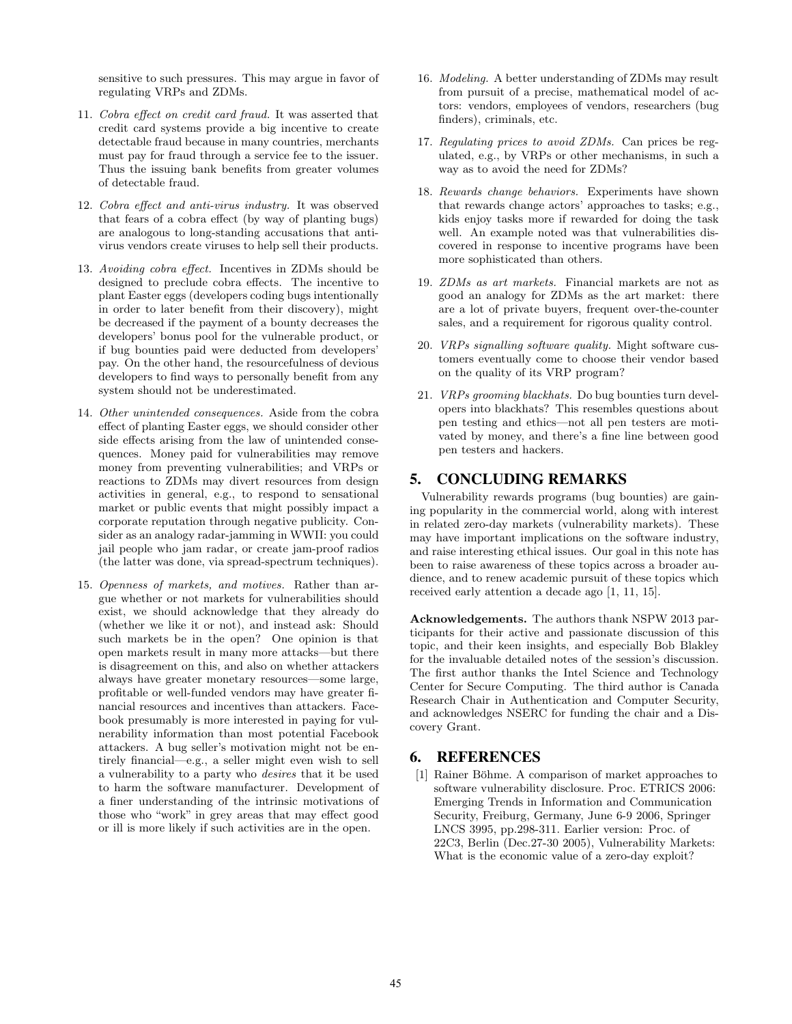sensitive to such pressures. This may argue in favor of regulating VRPs and ZDMs.

- 11. Cobra effect on credit card fraud. It was asserted that credit card systems provide a big incentive to create detectable fraud because in many countries, merchants must pay for fraud through a service fee to the issuer. Thus the issuing bank benefits from greater volumes of detectable fraud.
- 12. Cobra effect and anti-virus industry. It was observed that fears of a cobra effect (by way of planting bugs) are analogous to long-standing accusations that antivirus vendors create viruses to help sell their products.
- 13. Avoiding cobra effect. Incentives in ZDMs should be designed to preclude cobra effects. The incentive to plant Easter eggs (developers coding bugs intentionally in order to later benefit from their discovery), might be decreased if the payment of a bounty decreases the developers' bonus pool for the vulnerable product, or if bug bounties paid were deducted from developers' pay. On the other hand, the resourcefulness of devious developers to find ways to personally benefit from any system should not be underestimated.
- 14. Other unintended consequences. Aside from the cobra effect of planting Easter eggs, we should consider other side effects arising from the law of unintended consequences. Money paid for vulnerabilities may remove money from preventing vulnerabilities; and VRPs or reactions to ZDMs may divert resources from design activities in general, e.g., to respond to sensational market or public events that might possibly impact a corporate reputation through negative publicity. Consider as an analogy radar-jamming in WWII: you could jail people who jam radar, or create jam-proof radios (the latter was done, via spread-spectrum techniques).
- 15. Openness of markets, and motives. Rather than argue whether or not markets for vulnerabilities should exist, we should acknowledge that they already do (whether we like it or not), and instead ask: Should such markets be in the open? One opinion is that open markets result in many more attacks—but there is disagreement on this, and also on whether attackers always have greater monetary resources—some large, profitable or well-funded vendors may have greater financial resources and incentives than attackers. Facebook presumably is more interested in paying for vulnerability information than most potential Facebook attackers. A bug seller's motivation might not be entirely financial—e.g., a seller might even wish to sell a vulnerability to a party who desires that it be used to harm the software manufacturer. Development of a finer understanding of the intrinsic motivations of those who "work" in grey areas that may effect good or ill is more likely if such activities are in the open.
- 16. Modeling. A better understanding of ZDMs may result from pursuit of a precise, mathematical model of actors: vendors, employees of vendors, researchers (bug finders), criminals, etc.
- 17. Regulating prices to avoid ZDMs. Can prices be regulated, e.g., by VRPs or other mechanisms, in such a way as to avoid the need for ZDMs?
- 18. Rewards change behaviors. Experiments have shown that rewards change actors' approaches to tasks; e.g., kids enjoy tasks more if rewarded for doing the task well. An example noted was that vulnerabilities discovered in response to incentive programs have been more sophisticated than others.
- 19. ZDMs as art markets. Financial markets are not as good an analogy for ZDMs as the art market: there are a lot of private buyers, frequent over-the-counter sales, and a requirement for rigorous quality control.
- 20. VRPs signalling software quality. Might software customers eventually come to choose their vendor based on the quality of its VRP program?
- 21. VRPs grooming blackhats. Do bug bounties turn developers into blackhats? This resembles questions about pen testing and ethics—not all pen testers are motivated by money, and there's a fine line between good pen testers and hackers.

## 5. CONCLUDING REMARKS

Vulnerability rewards programs (bug bounties) are gaining popularity in the commercial world, along with interest in related zero-day markets (vulnerability markets). These may have important implications on the software industry, and raise interesting ethical issues. Our goal in this note has been to raise awareness of these topics across a broader audience, and to renew academic pursuit of these topics which received early attention a decade ago [1, 11, 15].

Acknowledgements. The authors thank NSPW 2013 participants for their active and passionate discussion of this topic, and their keen insights, and especially Bob Blakley for the invaluable detailed notes of the session's discussion. The first author thanks the Intel Science and Technology Center for Secure Computing. The third author is Canada Research Chair in Authentication and Computer Security, and acknowledges NSERC for funding the chair and a Discovery Grant.

## 6. REFERENCES

[1] Rainer Böhme. A comparison of market approaches to software vulnerability disclosure. Proc. ETRICS 2006: Emerging Trends in Information and Communication Security, Freiburg, Germany, June 6-9 2006, Springer LNCS 3995, pp.298-311. Earlier version: Proc. of 22C3, Berlin (Dec.27-30 2005), Vulnerability Markets: What is the economic value of a zero-day exploit?